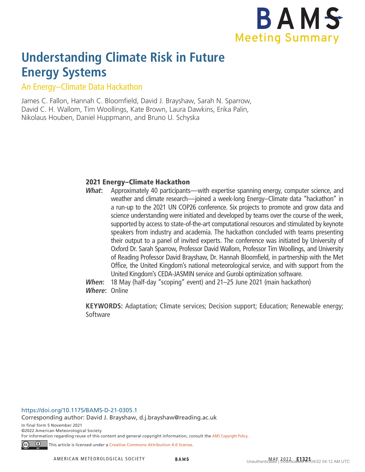

# **Understanding Climate Risk in Future Energy Systems**

## An Energy–Climate Data Hackathon

James C. Fallon, Hannah C. Bloomfield, David J. Brayshaw, Sarah N. Sparrow, David C. H. Wallom, Tim Woollings, Kate Brown, Laura Dawkins, Erika Palin, Nikolaus Houben, Daniel Huppmann, and Bruno U. Schyska

## 2021 Energy–Climate Hackathon

What: Approximately 40 participants—with expertise spanning energy, computer science, and weather and climate research—joined a week-long Energy–Climate data "hackathon" in a run-up to the 2021 UN COP26 conference. Six projects to promote and grow data and science understanding were initiated and developed by teams over the course of the week, supported by access to state-of-the-art computational resources and stimulated by keynote speakers from industry and academia. The hackathon concluded with teams presenting their output to a panel of invited experts. The conference was initiated by University of Oxford Dr. Sarah Sparrow, Professor David Wallom, Professor Tim Woollings, and University of Reading Professor David Brayshaw, Dr. Hannah Bloomfield, in partnership with the Met Office, the United Kingdom's national meteorological service, and with support from the United Kingdom's CEDA-JASMIN service and Gurobi optimization software.

**When:** 18 May (half-day "scoping" event) and 21–25 June 2021 (main hackathon) **Where:** Online

 **KEYWORDS:** Adaptation; Climate services; Decision support; Education; Renewable energy; Software

#### https://doi.org/10.1175/BAMS-D-21-0305.1

Corresponding author: David J. Brayshaw, d.j.brayshaw@reading.ac.uk

In final form 5 November 2021

 $\odot$ 

 $(c)$ 

©2022 American Meteorological Society

For information regarding reuse of this content and general copyright information, consult the AMS Copyright Policy.

This article is licensed under a Creative Commons Attribution 4.0 license.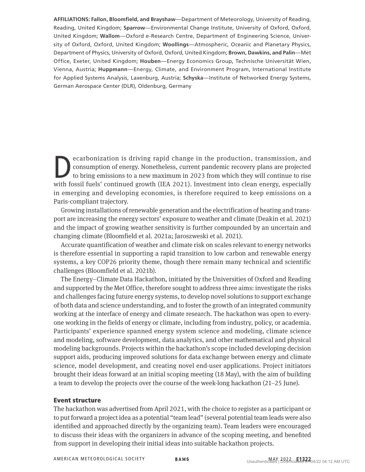**AFFILIATIONS: Fallon, Bloomfield, and Brayshaw**—Department of Meteorology, University of Reading, Reading, United Kingdom; **Sparrow**—Environmental Change Institute, University of Oxford, Oxford, United Kingdom; **Wallom**—Oxford e-Research Centre, Department of Engineering Science, University of Oxford, Oxford, United Kingdom; **Woollings**—Atmospheric, Oceanic and Planetary Physics, Department of Physics, University of Oxford, Oxford, United Kingdom; **Brown, Dawkins, and Palin**—Met Office, Exeter, United Kingdom; **Houben**—Energy Economics Group, Technische Universität Wien, Vienna, Austria; **Huppmann**—Energy, Climate, and Environment Program, International Institute for Applied Systems Analysis, Laxenburg, Austria; **Schyska**—Institute of Networked Energy Systems, German Aerospace Center (DLR), Oldenburg, Germany

**Decarbonization is driving rapid change in the production, transmission, and consumption of energy. Nonetheless, current pandemic recovery plans are projected to bring emissions to a new maximum in 2023 from which they wi** consumption of energy. Nonetheless, current pandemic recovery plans are projected to bring emissions to a new maximum in 2023 from which they will continue to rise with fossil fuels' continued growth (IEA 2021). Investment into clean energy, especially in emerging and developing economies, is therefore required to keep emissions on a Paris-compliant trajectory.

Growing installations of renewable generation and the electrification of heating and transport are increasing the energy sectors' exposure to weather and climate (Deakin et al. 2021) and the impact of growing weather sensitivity is further compounded by an uncertain and changing climate (Bloomfield et al. 2021a; Jaroszweski et al. 2021).

Accurate quantification of weather and climate risk on scales relevant to energy networks is therefore essential in supporting a rapid transition to low carbon and renewable energy systems, a key COP26 priority theme, though there remain many technical and scientific challenges (Bloomfield et al. 2021b).

The Energy–Climate Data Hackathon, initiated by the Universities of Oxford and Reading and supported by the Met Office, therefore sought to address three aims: investigate the risks and challenges facing future energy systems, to develop novel solutions to support exchange of both data and science understanding, and to foster the growth of an integrated community working at the interface of energy and climate research. The hackathon was open to everyone working in the fields of energy or climate, including from industry, policy, or academia. Participants' experience spanned energy system science and modeling, climate science and modeling, software development, data analytics, and other mathematical and physical modeling backgrounds. Projects within the hackathon's scope included developing decision support aids, producing improved solutions for data exchange between energy and climate science, model development, and creating novel end-user applications. Project initiators brought their ideas forward at an initial scoping meeting (18 May), with the aim of building a team to develop the projects over the course of the week-long hackathon (21–25 June).

#### Event structure

The hackathon was advertised from April 2021, with the choice to register as a participant or to put forward a project idea as a potential "team lead" (several potential team leads were also identified and approached directly by the organizing team). Team leaders were encouraged to discuss their ideas with the organizers in advance of the scoping meeting, and benefited from support in developing their initial ideas into suitable hackathon projects.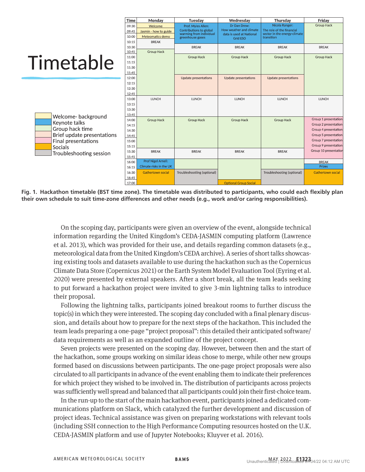

**Fig. 1. Hackathon timetable (BST time zone). The timetable was distributed to participants, who could each flexibly plan their own schedule to suit time-zone differences and other needs (e.g., work and/or caring responsibilities).**

On the scoping day, participants were given an overview of the event, alongside technical information regarding the United Kingdom's CEDA-JASMIN computing platform (Lawrence et al. 2013), which was provided for their use, and details regarding common datasets (e.g., meteorological data from the United Kingdom's CEDA archive). A series of short talks showcasing existing tools and datasets available to use during the hackathon such as the Copernicus Climate Data Store (Copernicus 2021) or the Earth System Model Evaluation Tool (Eyring et al. 2020) were presented by external speakers. After a short break, all the team leads seeking to put forward a hackathon project were invited to give 3-min lightning talks to introduce their proposal.

Following the lightning talks, participants joined breakout rooms to further discuss the topic(s) in which they were interested. The scoping day concluded with a final plenary discussion, and details about how to prepare for the next steps of the hackathon. This included the team leads preparing a one-page "project proposal": this detailed their anticipated software/ data requirements as well as an expanded outline of the project concept.

Seven projects were presented on the scoping day. However, between then and the start of the hackathon, some groups working on similar ideas chose to merge, while other new groups formed based on discussions between participants. The one-page project proposals were also circulated to all participants in advance of the event enabling them to indicate their preferences for which project they wished to be involved in. The distribution of participants across projects was sufficiently well spread and balanced that all participants could join their first-choice team.

In the run-up to the start of the main hackathon event, participants joined a dedicated communications platform on Slack, which catalyzed the further development and discussion of project ideas. Technical assistance was given on preparing workstations with relevant tools (including SSH connection to the High Performance Computing resources hosted on the U.K. CEDA-JASMIN platform and use of Jupyter Notebooks; Kluyver et al. 2016).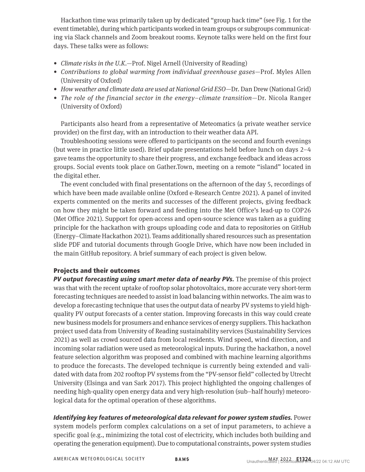Hackathon time was primarily taken up by dedicated "group hack time" (see Fig. 1 for the event timetable), during which participants worked in team groups or subgroups communicating via Slack channels and Zoom breakout rooms. Keynote talks were held on the first four days. These talks were as follows:

- *Climate risks in the U.K.*—Prof. Nigel Arnell (University of Reading)
- *Contributions to global warming from individual greenhouse gases*—Prof. Myles Allen (University of Oxford)
- *How weather and climate data are used at National Grid ESO-Dr. Dan Drew (National Grid)*
- *The role of the financial sector in the energy–climate transition*—Dr. Nicola Ranger (University of Oxford)

Participants also heard from a representative of Meteomatics (a private weather service provider) on the first day, with an introduction to their weather data API.

Troubleshooting sessions were offered to participants on the second and fourth evenings (but were in practice little used). Brief update presentations held before lunch on days 2–4 gave teams the opportunity to share their progress, and exchange feedback and ideas across groups. Social events took place on Gather.Town, meeting on a remote "island" located in the digital ether.

The event concluded with final presentations on the afternoon of the day 5, recordings of which have been made available online (Oxford e-Research Centre 2021). A panel of invited experts commented on the merits and successes of the different projects, giving feedback on how they might be taken forward and feeding into the Met Office's lead-up to COP26 (Met Office 2021). Support for open-access and open-source science was taken as a guiding principle for the hackathon with groups uploading code and data to repositories on GitHub (Energy–Climate Hackathon 2021). Teams additionally shared resources such as presentation slide PDF and tutorial documents through Google Drive, which have now been included in the main GitHub repository. A brief summary of each project is given below.

## Projects and their outcomes

PV output forecasting using smart meter data of nearby PVs. The premise of this project was that with the recent uptake of rooftop solar photovoltaics, more accurate very short-term forecasting techniques are needed to assist in load balancing within networks. The aim was to develop a forecasting technique that uses the output data of nearby PV systems to yield highquality PV output forecasts of a center station. Improving forecasts in this way could create new business models for prosumers and enhance services of energy suppliers. This hackathon project used data from University of Reading sustainability services (Sustainability Services 2021) as well as crowd sourced data from local residents. Wind speed, wind direction, and incoming solar radiation were used as meteorological inputs. During the hackathon, a novel feature selection algorithm was proposed and combined with machine learning algorithms to produce the forecasts. The developed technique is currently being extended and validated with data from 202 rooftop PV systems from the "PV-sensor field" collected by Utrecht University (Elsinga and van Sark 2017). This project highlighted the ongoing challenges of needing high-quality open energy data and very high-resolution (sub–half hourly) meteorological data for the optimal operation of these algorithms.

Identifying key features of meteorological data relevant for power system studies. Power system models perform complex calculations on a set of input parameters, to achieve a specific goal (e.g., minimizing the total cost of electricity, which includes both building and operating the generation equipment). Due to computational constraints, power system studies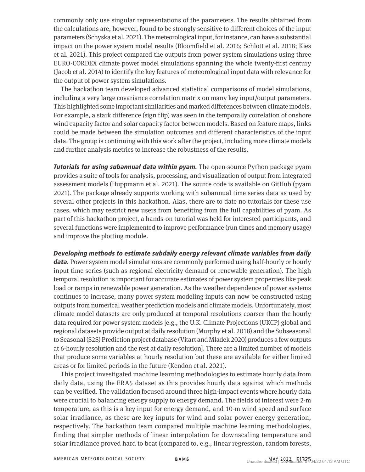commonly only use singular representations of the parameters. The results obtained from the calculations are, however, found to be strongly sensitive to different choices of the input parameters (Schyska et al. 2021). The meteorological input, for instance, can have a substantial impact on the power system model results (Bloomfield et al. 2016; Schlott et al. 2018; Kies et al. 2021). This project compared the outputs from power system simulations using three EURO-CORDEX climate power model simulations spanning the whole twenty-first century (Jacob et al. 2014) to identify the key features of meteorological input data with relevance for the output of power system simulations.

The hackathon team developed advanced statistical comparisons of model simulations, including a very large covariance correlation matrix on many key input/output parameters. This highlighted some important similarities and marked differences between climate models. For example, a stark difference (sign flip) was seen in the temporally correlation of onshore wind capacity factor and solar capacity factor between models. Based on feature maps, links could be made between the simulation outcomes and different characteristics of the input data. The group is continuing with this work after the project, including more climate models and further analysis metrics to increase the robustness of the results.

**Tutorials for using subannual data within pyam.** The open-source Python package pyam provides a suite of tools for analysis, processing, and visualization of output from integrated assessment models (Huppmann et al. 2021). The source code is available on GitHub (pyam 2021). The package already supports working with subannual time series data as used by several other projects in this hackathon. Alas, there are to date no tutorials for these use cases, which may restrict new users from benefiting from the full capabilities of pyam. As part of this hackathon project, a hands-on tutorial was held for interested participants, and several functions were implemented to improve performance (run times and memory usage) and improve the plotting module.

Developing methods to estimate subdaily energy relevant climate variables from daily

data. Power system model simulations are commonly performed using half-hourly or hourly input time series (such as regional electricity demand or renewable generation). The high temporal resolution is important for accurate estimates of power system properties like peak load or ramps in renewable power generation. As the weather dependence of power systems continues to increase, many power system modeling inputs can now be constructed using outputs from numerical weather prediction models and climate models. Unfortunately, most climate model datasets are only produced at temporal resolutions coarser than the hourly data required for power system models [e.g., the U.K. Climate Projections (UKCP) global and regional datasets provide output at daily resolution (Murphy et al. 2018) and the Subseasonal to Seasonal (S2S) Prediction project database (Vitart and Mladek 2020) produces a few outputs at 6-hourly resolution and the rest at daily resolution]. There are a limited number of models that produce some variables at hourly resolution but these are available for either limited areas or for limited periods in the future (Kendon et al. 2021).

This project investigated machine learning methodologies to estimate hourly data from daily data, using the ERA5 dataset as this provides hourly data against which methods can be verified. The validation focused around three high-impact events where hourly data were crucial to balancing energy supply to energy demand. The fields of interest were 2-m temperature, as this is a key input for energy demand, and 10-m wind speed and surface solar irradiance, as these are key inputs for wind and solar power energy generation, respectively. The hackathon team compared multiple machine learning methodologies, finding that simpler methods of linear interpolation for downscaling temperature and solar irradiance proved hard to beat (compared to, e.g., linear regression, random forests,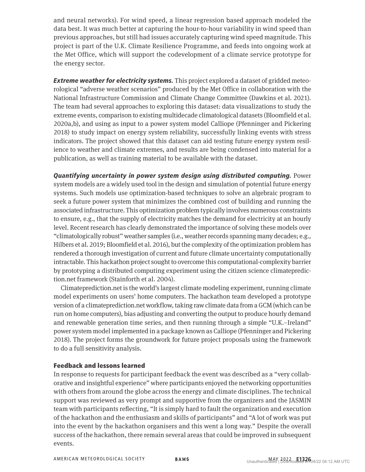and neural networks). For wind speed, a linear regression based approach modeled the data best. It was much better at capturing the hour-to-hour variability in wind speed than previous approaches, but still had issues accurately capturing wind speed magnitude. This project is part of the U.K. Climate Resilience Programme, and feeds into ongoing work at the Met Office, which will support the codevelopment of a climate service prototype for the energy sector.

**Extreme weather for electricity systems.** This project explored a dataset of gridded meteorological "adverse weather scenarios" produced by the Met Office in collaboration with the National Infrastructure Commission and Climate Change Committee (Dawkins et al. 2021). The team had several approaches to exploring this dataset: data visualizations to study the extreme events, comparison to existing multidecade climatological datasets (Bloomfield et al. 2020a,b), and using as input to a power system model Calliope (Pfenninger and Pickering 2018) to study impact on energy system reliability, successfully linking events with stress indicators. The project showed that this dataset can aid testing future energy system resilience to weather and climate extremes, and results are being condensed into material for a publication, as well as training material to be available with the dataset.

Quantifying uncertainty in power system design using distributed computing. Power system models are a widely used tool in the design and simulation of potential future energy systems. Such models use optimization-based techniques to solve an algebraic program to seek a future power system that minimizes the combined cost of building and running the associated infrastructure. This optimization problem typically involves numerous constraints to ensure, e.g., that the supply of electricity matches the demand for electricity at an hourly level. Recent research has clearly demonstrated the importance of solving these models over "climatologically robust" weather samples (i.e., weather records spanning many decades; e.g., Hilbers et al. 2019; Bloomfield et al. 2016), but the complexity of the optimization problem has rendered a thorough investigation of current and future climate uncertainty computationally intractable. This hackathon project sought to overcome this computational-complexity barrier by prototyping a distributed computing experiment using the citizen science climateprediction.net framework (Stainforth et al. 2004).

Climateprediction.net is the world's largest climate modeling experiment, running climate model experiments on users' home computers. The hackathon team developed a prototype version of a climateprediction.net workflow, taking raw climate data from a GCM (which can be run on home computers), bias adjusting and converting the output to produce hourly demand and renewable generation time series, and then running through a simple "U.K.–Ireland" power system model implemented in a package known as Calliope (Pfenninger and Pickering 2018). The project forms the groundwork for future project proposals using the framework to do a full sensitivity analysis.

## Feedback and lessons learned

In response to requests for participant feedback the event was described as a "very collaborative and insightful experience" where participants enjoyed the networking opportunities with others from around the globe across the energy and climate disciplines. The technical support was reviewed as very prompt and supportive from the organizers and the JASMIN team with participants reflecting, "It is simply hard to fault the organization and execution of the hackathon and the enthusiasm and skills of participants" and "A lot of work was put into the event by the hackathon organisers and this went a long way." Despite the overall success of the hackathon, there remain several areas that could be improved in subsequent events.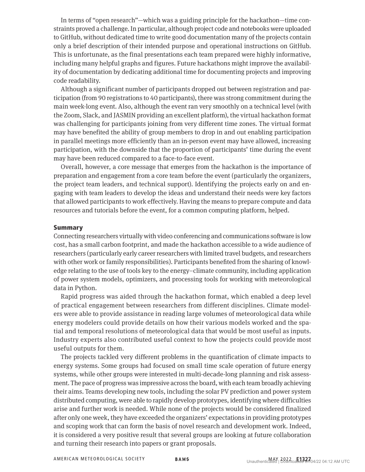In terms of "open research"—which was a guiding principle for the hackathon—time constraints proved a challenge. In particular, although project code and notebooks were uploaded to GitHub, without dedicated time to write good documentation many of the projects contain only a brief description of their intended purpose and operational instructions on GitHub. This is unfortunate, as the final presentations each team prepared were highly informative, including many helpful graphs and figures. Future hackathons might improve the availability of documentation by dedicating additional time for documenting projects and improving code readability.

Although a significant number of participants dropped out between registration and participation (from 90 registrations to 40 participants), there was strong commitment during the main week-long event. Also, although the event ran very smoothly on a technical level (with the Zoom, Slack, and JASMIN providing an excellent platform), the virtual hackathon format was challenging for participants joining from very different time zones. The virtual format may have benefited the ability of group members to drop in and out enabling participation in parallel meetings more efficiently than an in-person event may have allowed, increasing participation, with the downside that the proportion of participants' time during the event may have been reduced compared to a face-to-face event.

Overall, however, a core message that emerges from the hackathon is the importance of preparation and engagement from a core team before the event (particularly the organizers, the project team leaders, and technical support). Identifying the projects early on and engaging with team leaders to develop the ideas and understand their needs were key factors that allowed participants to work effectively. Having the means to prepare compute and data resources and tutorials before the event, for a common computing platform, helped.

#### Summary

Connecting researchers virtually with video conferencing and communications software is low cost, has a small carbon footprint, and made the hackathon accessible to a wide audience of researchers (particularly early career researchers with limited travel budgets, and researchers with other work or family responsibilities). Participants benefited from the sharing of knowledge relating to the use of tools key to the energy–climate community, including application of power system models, optimizers, and processing tools for working with meteorological data in Python.

Rapid progress was aided through the hackathon format, which enabled a deep level of practical engagement between researchers from different disciplines. Climate modelers were able to provide assistance in reading large volumes of meteorological data while energy modelers could provide details on how their various models worked and the spatial and temporal resolutions of meteorological data that would be most useful as inputs. Industry experts also contributed useful context to how the projects could provide most useful outputs for them.

The projects tackled very different problems in the quantification of climate impacts to energy systems. Some groups had focused on small time scale operation of future energy systems, while other groups were interested in multi-decade-long planning and risk assessment. The pace of progress was impressive across the board, with each team broadly achieving their aims. Teams developing new tools, including the solar PV prediction and power system distributed computing, were able to rapidly develop prototypes, identifying where difficulties arise and further work is needed. While none of the projects would be considered finalized after only one week, they have exceeded the organizers' expectations in providing prototypes and scoping work that can form the basis of novel research and development work. Indeed, it is considered a very positive result that several groups are looking at future collaboration and turning their research into papers or grant proposals.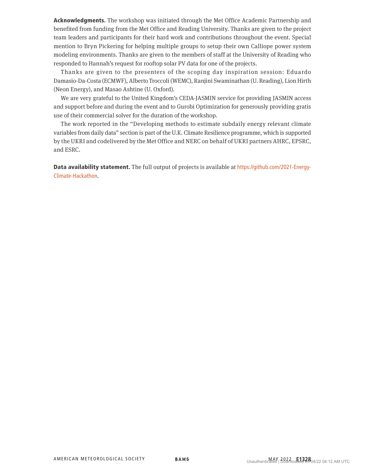Acknowledgments. The workshop was initiated through the Met Office Academic Partnership and benefited from funding from the Met Office and Reading University. Thanks are given to the project team leaders and participants for their hard work and contributions throughout the event. Special mention to Bryn Pickering for helping multiple groups to setup their own Calliope power system modeling environments. Thanks are given to the members of staff at the University of Reading who responded to Hannah's request for rooftop solar PV data for one of the projects.

Thanks are given to the presenters of the scoping day inspiration session: Eduardo Damasio-Da-Costa (ECMWF), Alberto Troccoli (WEMC), Ranjini Swaminathan (U. Reading), Lion Hirth (Neon Energy), and Masao Ashtine (U. Oxford).

We are very grateful to the United Kingdom's CEDA-JASMIN service for providing JASMIN access and support before and during the event and to Gurobi Optimization for generously providing gratis use of their commercial solver for the duration of the workshop.

The work reported in the "Developing methods to estimate subdaily energy relevant climate variables from daily data" section is part of the U.K. Climate Resilience programme, which is supported by the UKRI and codelivered by the Met Office and NERC on behalf of UKRI partners AHRC, EPSRC, and ESRC.

Data availability statement. The full output of projects is available at https://github.com/2021-Energy-Climate-Hackathon.